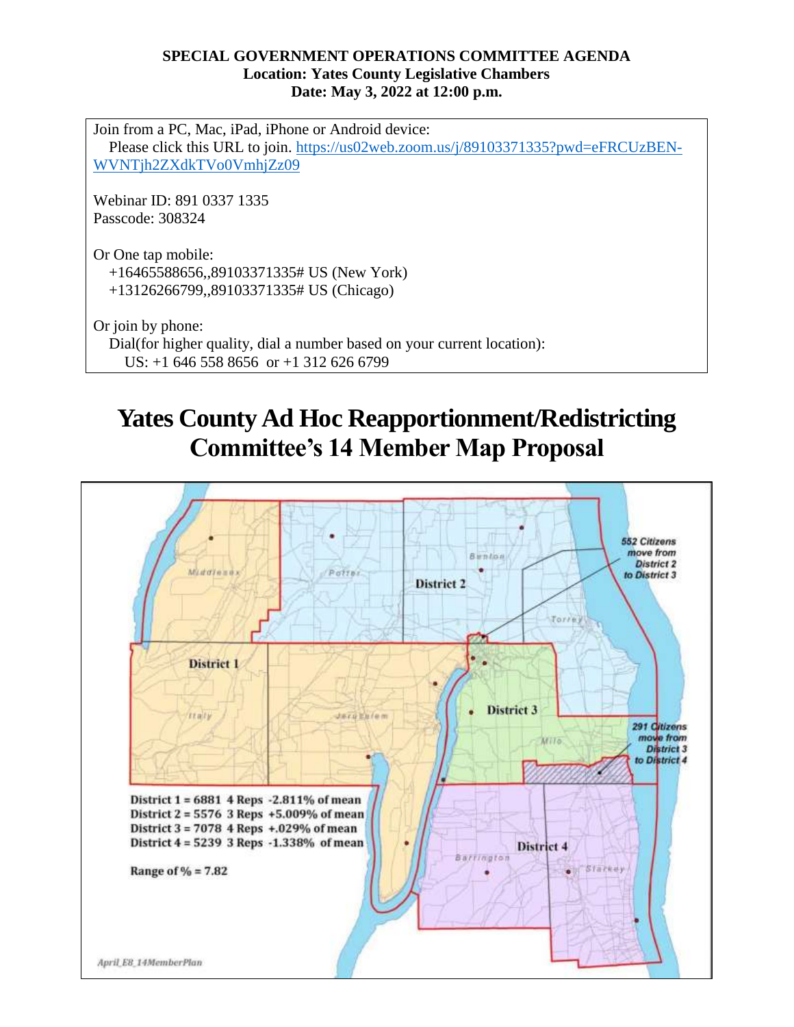## **SPECIAL GOVERNMENT OPERATIONS COMMITTEE AGENDA Location: Yates County Legislative Chambers Date: May 3, 2022 at 12:00 p.m.**

Join from a PC, Mac, iPad, iPhone or Android device: Please click this URL to join. [https://us02web.zoom.us/j/89103371335?pwd=eFRCUzBEN-](https://us02web.zoom.us/j/89103371335?pwd=eFRCUzBENWVNTjh2ZXdkTVo0VmhjZz09)[WVNTjh2ZXdkTVo0VmhjZz09](https://us02web.zoom.us/j/89103371335?pwd=eFRCUzBENWVNTjh2ZXdkTVo0VmhjZz09)

Webinar ID: 891 0337 1335 Passcode: 308324

Or One tap mobile: +16465588656,,89103371335# US (New York) +13126266799,,89103371335# US (Chicago)

Or join by phone: Dial(for higher quality, dial a number based on your current location): US: +1 646 558 8656 or +1 312 626 6799

## **Yates County Ad Hoc Reapportionment/Redistricting Committee's 14 Member Map Proposal**